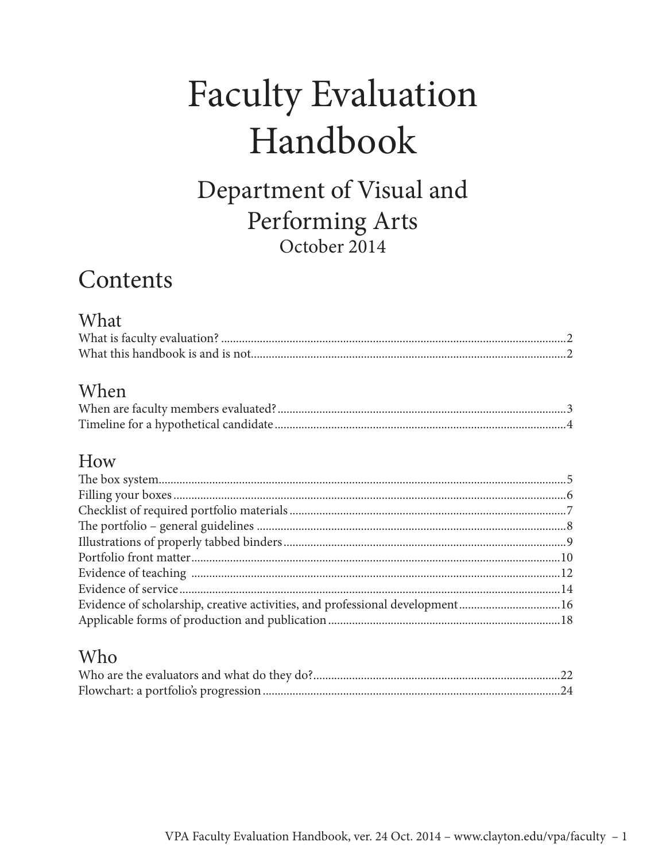# **Faculty Evaluation** Handbook

Department of Visual and Performing Arts October 2014

## Contents

### What

### When

### How

| Evidence of scholarship, creative activities, and professional development16 |  |
|------------------------------------------------------------------------------|--|
|                                                                              |  |

### Who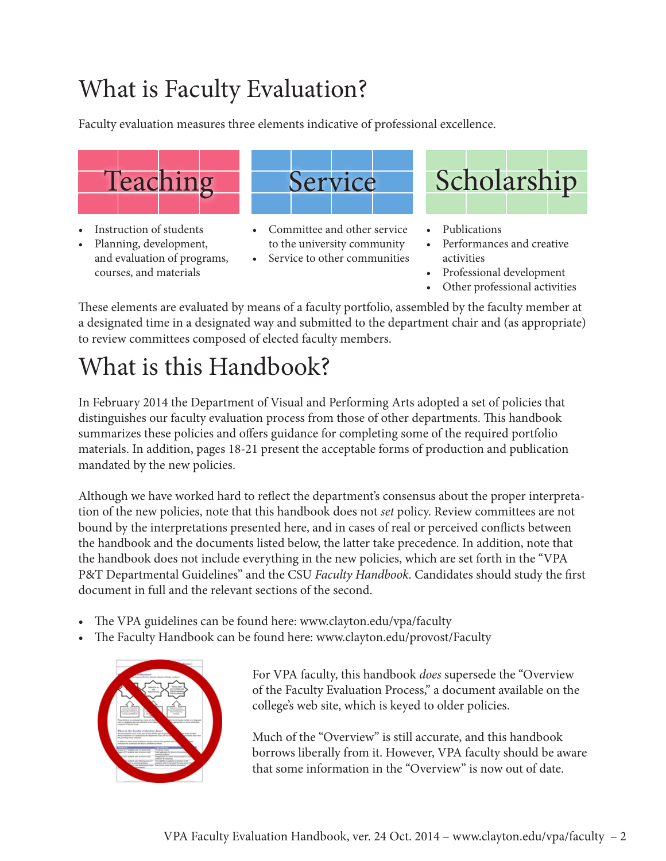## What is Faculty Evaluation?

Faculty evaluation measures three elements indicative of professional excellence.



- Instruction of students
- Planning, development, and evaluation of programs, courses, and materials



- Committee and other service to the university community
- • Service to other communities



- **Publications**
- Performances and creative activities
- Professional development
- • Other professional activities

These elements are evaluated by means of a faculty portfolio, assembled by the faculty member at a designated time in a designated way and submitted to the department chair and (as appropriate) to review committees composed of elected faculty members.

## What is this Handbook?

In February 2014 the Department of Visual and Performing Arts adopted a set of policies that distinguishes our faculty evaluation process from those of other departments. This handbook summarizes these policies and offers guidance for completing some of the required portfolio materials. In addition, pages 18-21 present the acceptable forms of production and publication mandated by the new policies.

Although we have worked hard to reflect the department's consensus about the proper interpretation of the new policies, note that this handbook does not *set* policy. Review committees are not bound by the interpretations presented here, and in cases of real or perceived conflicts between the handbook and the documents listed below, the latter take precedence. In addition, note that the handbook does not include everything in the new policies, which are set forth in the "VPA P&T Departmental Guidelines" and the CSU *Faculty Handbook*. Candidates should study the first document in full and the relevant sections of the second.

- The VPA guidelines can be found here: www.clayton.edu/vpa/faculty
- The Faculty Handbook can be found here: www.clayton.edu/provost/Faculty



For VPA faculty, this handbook *does* supersede the "Overview of the Faculty Evaluation Process," a document available on the college's web site, which is keyed to older policies.

Much of the "Overview" is still accurate, and this handbook borrows liberally from it. However, VPA faculty should be aware that some information in the "Overview" is now out of date.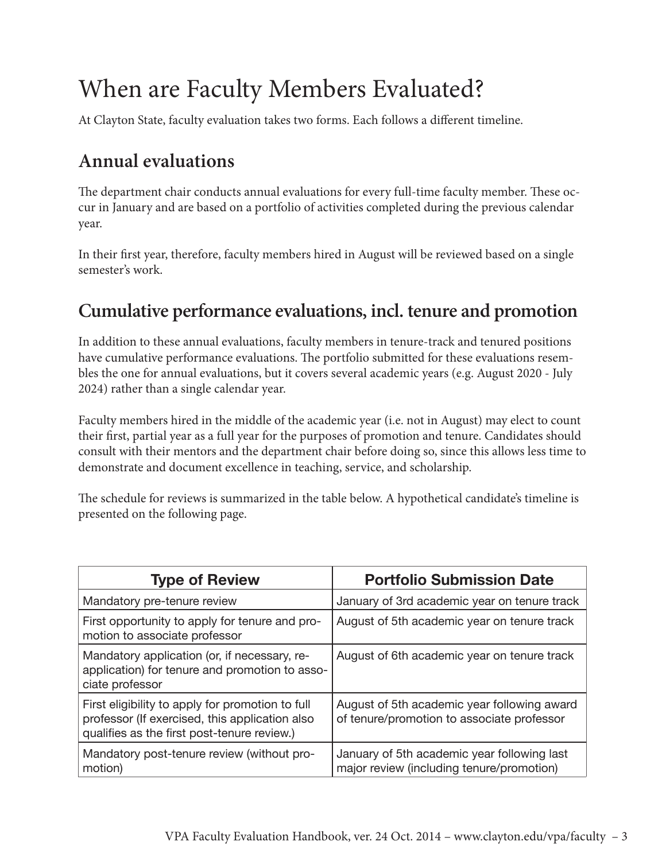## When are Faculty Members Evaluated?

At Clayton State, faculty evaluation takes two forms. Each follows a different timeline.

### **Annual evaluations**

The department chair conducts annual evaluations for every full-time faculty member. These occur in January and are based on a portfolio of activities completed during the previous calendar year.

In their first year, therefore, faculty members hired in August will be reviewed based on a single semester's work.

### **Cumulative performance evaluations, incl. tenure and promotion**

In addition to these annual evaluations, faculty members in tenure-track and tenured positions have cumulative performance evaluations. The portfolio submitted for these evaluations resembles the one for annual evaluations, but it covers several academic years (e.g. August 2020 - July 2024) rather than a single calendar year.

Faculty members hired in the middle of the academic year (i.e. not in August) may elect to count their first, partial year as a full year for the purposes of promotion and tenure. Candidates should consult with their mentors and the department chair before doing so, since this allows less time to demonstrate and document excellence in teaching, service, and scholarship.

The schedule for reviews is summarized in the table below. A hypothetical candidate's timeline is presented on the following page.

| <b>Type of Review</b>                                                                                                                             | <b>Portfolio Submission Date</b>                                                          |  |  |
|---------------------------------------------------------------------------------------------------------------------------------------------------|-------------------------------------------------------------------------------------------|--|--|
| Mandatory pre-tenure review                                                                                                                       | January of 3rd academic year on tenure track                                              |  |  |
| First opportunity to apply for tenure and pro-<br>motion to associate professor                                                                   | August of 5th academic year on tenure track                                               |  |  |
| Mandatory application (or, if necessary, re-<br>application) for tenure and promotion to asso-<br>ciate professor                                 | August of 6th academic year on tenure track                                               |  |  |
| First eligibility to apply for promotion to full<br>professor (If exercised, this application also<br>qualifies as the first post-tenure review.) | August of 5th academic year following award<br>of tenure/promotion to associate professor |  |  |
| Mandatory post-tenure review (without pro-<br>motion)                                                                                             | January of 5th academic year following last<br>major review (including tenure/promotion)  |  |  |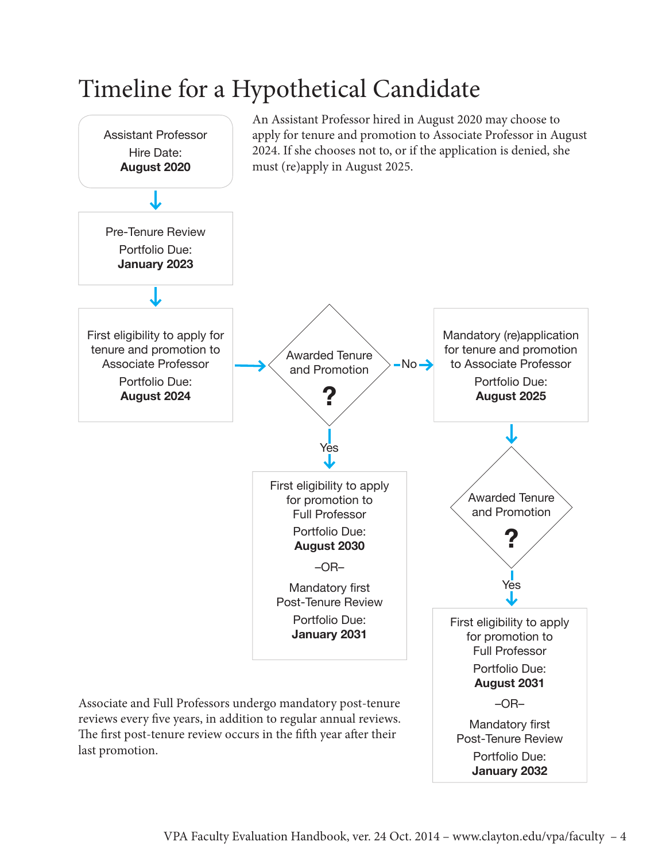## Timeline for a Hypothetical Candidate

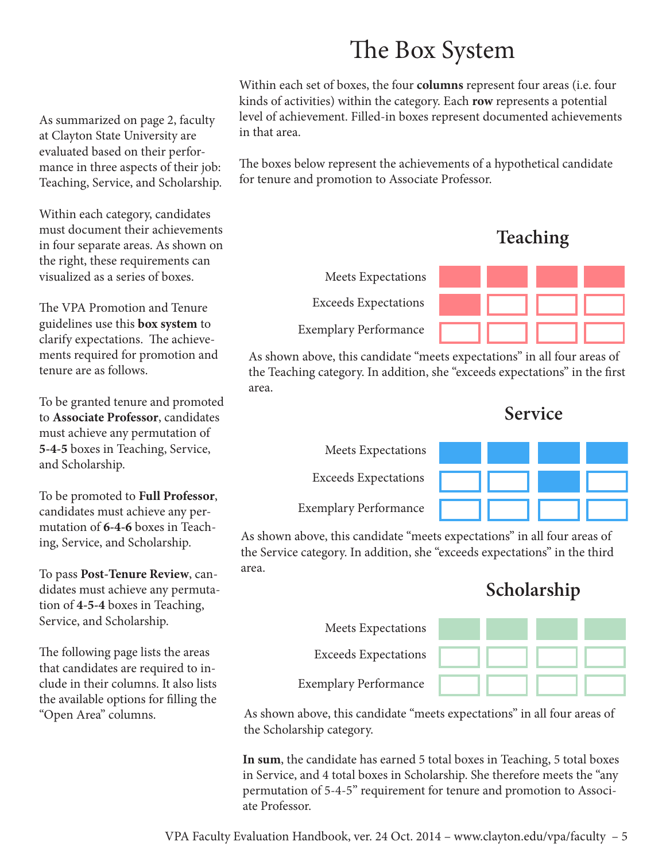## The Box System

Within each set of boxes, the four **columns** represent four areas (i.e. four kinds of activities) within the category. Each **row** represents a potential level of achievement. Filled-in boxes represent documented achievements in that area.

The boxes below represent the achievements of a hypothetical candidate for tenure and promotion to Associate Professor.

Exceeds Expectations Exemplary Performance **Teaching** Meets Expectations

As shown above, this candidate "meets expectations" in all four areas of the Teaching category. In addition, she "exceeds expectations" in the first area.

**Service**



As shown above, this candidate "meets expectations" in all four areas of the Service category. In addition, she "exceeds expectations" in the third area.

## **Scholarship**

|               | Meets Expectations           |  |  |
|---------------|------------------------------|--|--|
| eas<br>$1n -$ | <b>Exceeds Expectations</b>  |  |  |
| lists         | <b>Exemplary Performance</b> |  |  |

As shown above, this candidate "meets expectations" in all four areas of the Scholarship category.

**In sum**, the candidate has earned 5 total boxes in Teaching, 5 total boxes in Service, and 4 total boxes in Scholarship. She therefore meets the "any permutation of 5-4-5" requirement for tenure and promotion to Associate Professor.

As summarized on page 2, faculty at Clayton State University are evaluated based on their performance in three aspects of their job: Teaching, Service, and Scholarship.

Within each category, candidates must document their achievements in four separate areas. As shown on the right, these requirements can visualized as a series of boxes.

The VPA Promotion and Tenure guidelines use this **box system** to clarify expectations. The achievements required for promotion and tenure are as follows.

To be granted tenure and promoted to **Associate Professor**, candidates must achieve any permutation of **5-4-5** boxes in Teaching, Service, and Scholarship.

To be promoted to **Full Professor**, candidates must achieve any permutation of **6-4-6** boxes in Teaching, Service, and Scholarship.

To pass **Post-Tenure Review**, candidates must achieve any permutation of **4-5-4** boxes in Teaching, Service, and Scholarship.

The following page lists the are that candidates are required to clude in their columns. It also the available options for filling the "Open Area" columns.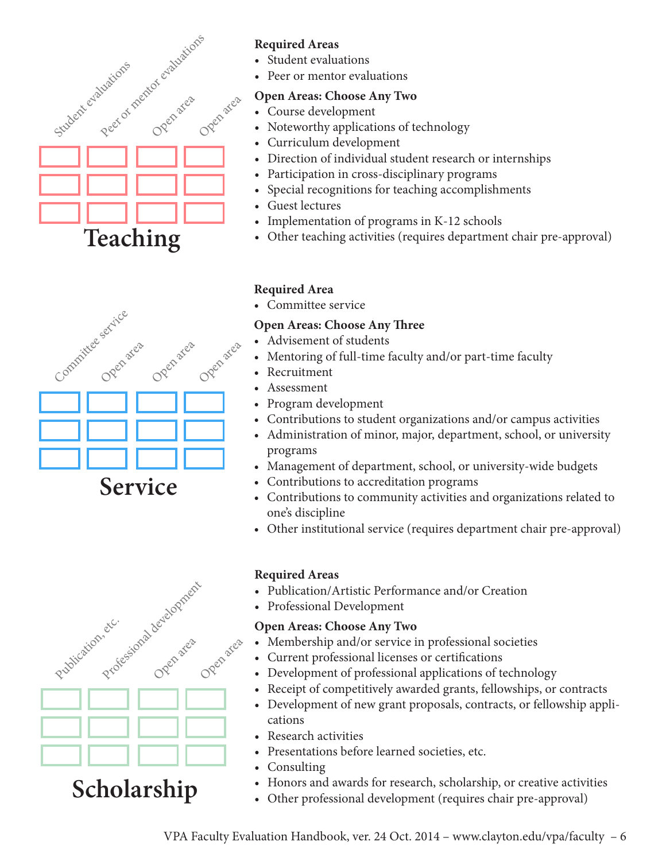

# Committee service Open area Open area Open area **Service**

#### **Required Areas**

- • Student evaluations
- Peer or mentor evaluations

#### **Open Areas: Choose Any Two**

- • Course development
- Noteworthy applications of technology
- Curriculum development
- Direction of individual student research or internships
- Participation in cross-disciplinary programs
- Special recognitions for teaching accomplishments
- Guest lectures
- Implementation of programs in K-12 schools
- Other teaching activities (requires department chair pre-approval)

#### **Required Area**

• Committee service

#### **Open Areas: Choose Any Three**

- • Advisement of students
- Mentoring of full-time faculty and/or part-time faculty
- • Recruitment
- • Assessment
- Program development
- Contributions to student organizations and/or campus activities
- Administration of minor, major, department, school, or university programs
- Management of department, school, or university-wide budgets
- Contributions to accreditation programs
- • Contributions to community activities and organizations related to one's discipline
- Other institutional service (requires department chair pre-approval)

#### **Required Areas**

- Publication/Artistic Performance and/or Creation
- Professional Development

#### **Open Areas: Choose Any Two**

- Membership and/or service in professional societies
- • Current professional licenses or certifications
- Development of professional applications of technology
- Receipt of competitively awarded grants, fellowships, or contracts
- Development of new grant proposals, contracts, or fellowship applications
- **Research activities**
- • Presentations before learned societies, etc.
- Consulting
- Honors and awards for research, scholarship, or creative activities
- Other professional development (requires chair pre-approval)

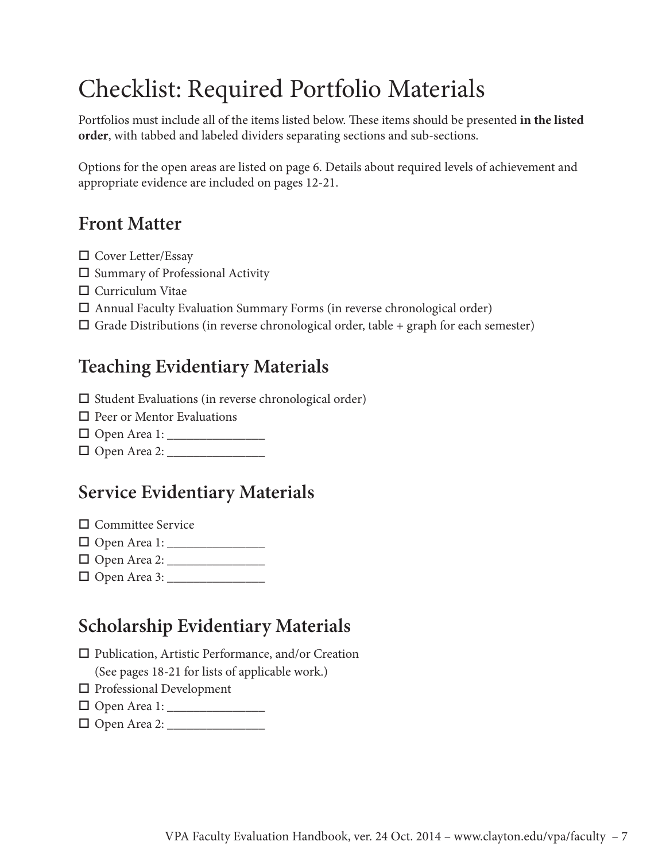## Checklist: Required Portfolio Materials

Portfolios must include all of the items listed below. These items should be presented **in the listed order**, with tabbed and labeled dividers separating sections and sub-sections.

Options for the open areas are listed on page 6. Details about required levels of achievement and appropriate evidence are included on pages 12-21.

### **Front Matter**

- $\square$  Cover Letter/Essay
- $\square$  Summary of Professional Activity
- $\Box$  Curriculum Vitae
- $\square$  Annual Faculty Evaluation Summary Forms (in reverse chronological order)
- $\Box$  Grade Distributions (in reverse chronological order, table + graph for each semester)

### **Teaching Evidentiary Materials**

- $\square$  Student Evaluations (in reverse chronological order)
- $\Box$  Peer or Mentor Evaluations
- o Open Area 1: \_\_\_\_\_\_\_\_\_\_\_\_\_\_\_
- o Open Area 2: \_\_\_\_\_\_\_\_\_\_\_\_\_\_\_

### **Service Evidentiary Materials**

 $\Box$  Committee Service

- o Open Area 1: \_\_\_\_\_\_\_\_\_\_\_\_\_\_\_
- o Open Area 2: \_\_\_\_\_\_\_\_\_\_\_\_\_\_\_
- o Open Area 3: \_\_\_\_\_\_\_\_\_\_\_\_\_\_\_

### **Scholarship Evidentiary Materials**

- $\square$  Publication, Artistic Performance, and/or Creation (See pages 18-21 for lists of applicable work.)
- $\square$  Professional Development
- o Open Area 1: \_\_\_\_\_\_\_\_\_\_\_\_\_\_\_
- o Open Area 2: \_\_\_\_\_\_\_\_\_\_\_\_\_\_\_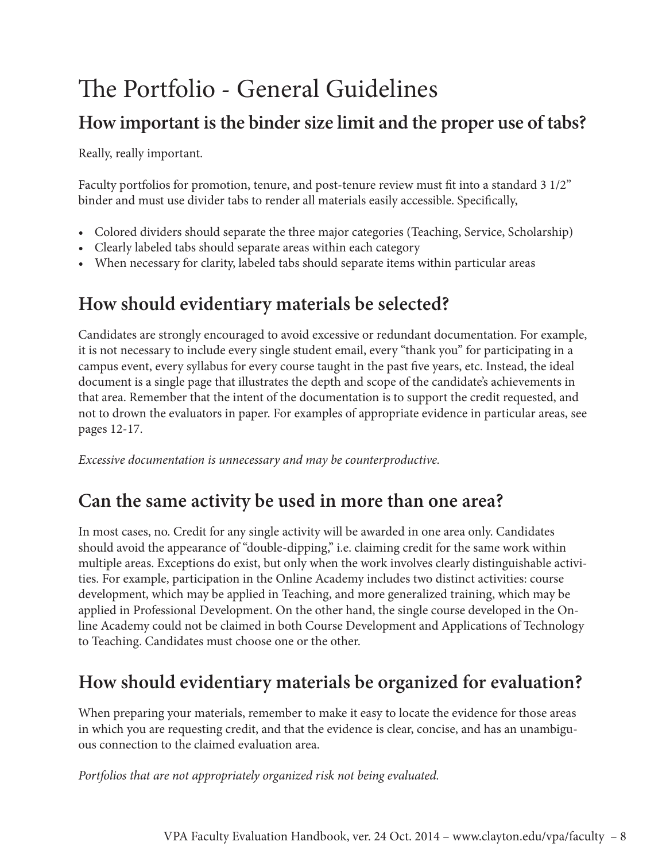## The Portfolio - General Guidelines

### **How important is the binder size limit and the proper use of tabs?**

Really, really important.

Faculty portfolios for promotion, tenure, and post-tenure review must fit into a standard 3 1/2" binder and must use divider tabs to render all materials easily accessible. Specifically,

- Colored dividers should separate the three major categories (Teaching, Service, Scholarship)
- Clearly labeled tabs should separate areas within each category
- When necessary for clarity, labeled tabs should separate items within particular areas

### **How should evidentiary materials be selected?**

Candidates are strongly encouraged to avoid excessive or redundant documentation. For example, it is not necessary to include every single student email, every "thank you" for participating in a campus event, every syllabus for every course taught in the past five years, etc. Instead, the ideal document is a single page that illustrates the depth and scope of the candidate's achievements in that area. Remember that the intent of the documentation is to support the credit requested, and not to drown the evaluators in paper. For examples of appropriate evidence in particular areas, see pages 12-17.

*Excessive documentation is unnecessary and may be counterproductive.*

### **Can the same activity be used in more than one area?**

In most cases, no. Credit for any single activity will be awarded in one area only. Candidates should avoid the appearance of "double-dipping," i.e. claiming credit for the same work within multiple areas. Exceptions do exist, but only when the work involves clearly distinguishable activities. For example, participation in the Online Academy includes two distinct activities: course development, which may be applied in Teaching, and more generalized training, which may be applied in Professional Development. On the other hand, the single course developed in the Online Academy could not be claimed in both Course Development and Applications of Technology to Teaching. Candidates must choose one or the other.

### **How should evidentiary materials be organized for evaluation?**

When preparing your materials, remember to make it easy to locate the evidence for those areas in which you are requesting credit, and that the evidence is clear, concise, and has an unambiguous connection to the claimed evaluation area.

*Portfolios that are not appropriately organized risk not being evaluated.*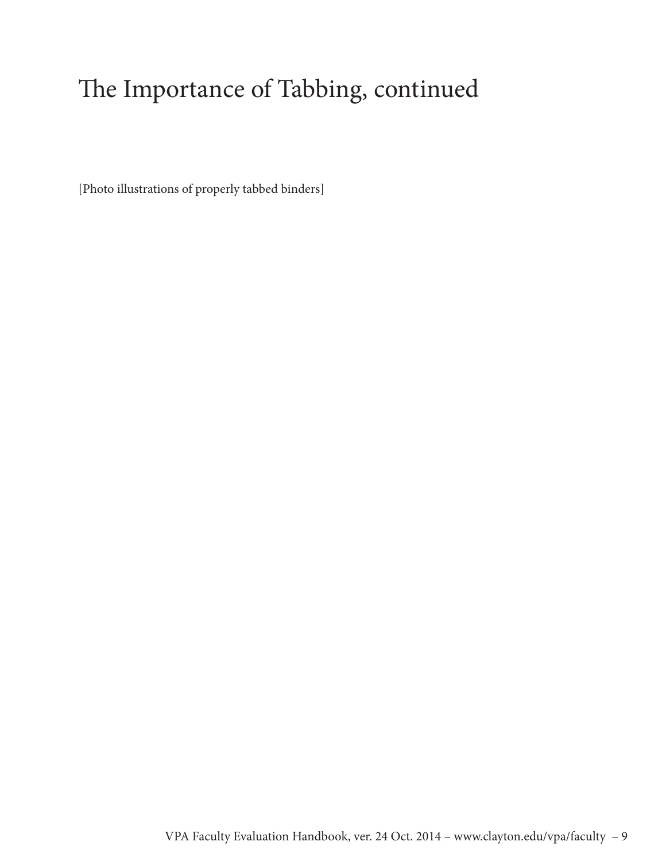## The Importance of Tabbing, continued

[Photo illustrations of properly tabbed binders]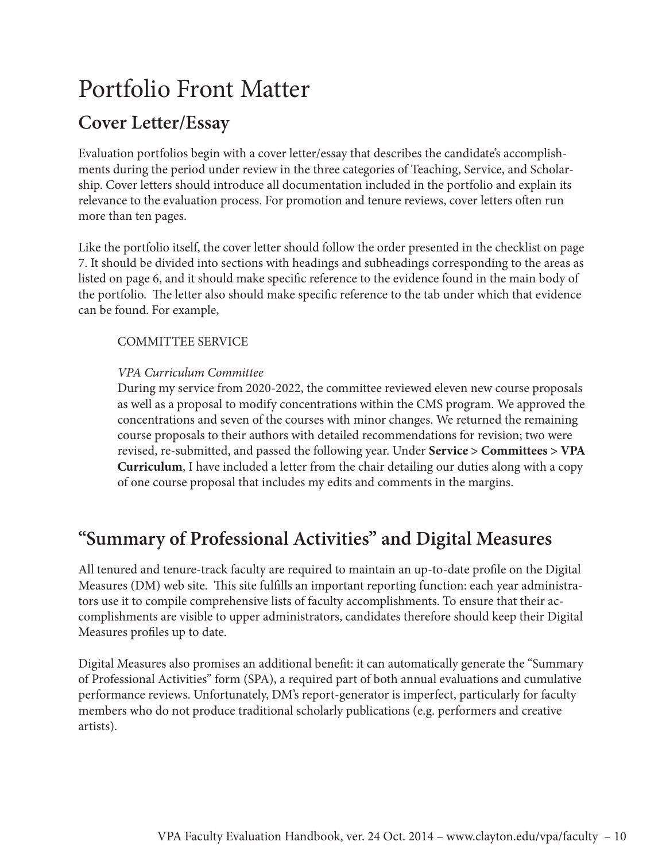## Portfolio Front Matter

### **Cover Letter/Essay**

Evaluation portfolios begin with a cover letter/essay that describes the candidate's accomplishments during the period under review in the three categories of Teaching, Service, and Scholarship. Cover letters should introduce all documentation included in the portfolio and explain its relevance to the evaluation process. For promotion and tenure reviews, cover letters often run more than ten pages.

Like the portfolio itself, the cover letter should follow the order presented in the checklist on page 7. It should be divided into sections with headings and subheadings corresponding to the areas as listed on page 6, and it should make specific reference to the evidence found in the main body of the portfolio. The letter also should make specific reference to the tab under which that evidence can be found. For example,

COMMITTEE SERVICE

#### *VPA Curriculum Committee*

During my service from 2020-2022, the committee reviewed eleven new course proposals as well as a proposal to modify concentrations within the CMS program. We approved the concentrations and seven of the courses with minor changes. We returned the remaining course proposals to their authors with detailed recommendations for revision; two were revised, re-submitted, and passed the following year. Under **Service > Committees > VPA Curriculum**, I have included a letter from the chair detailing our duties along with a copy of one course proposal that includes my edits and comments in the margins.

### **"Summary of Professional Activities" and Digital Measures**

All tenured and tenure-track faculty are required to maintain an up-to-date profile on the Digital Measures (DM) web site. This site fulfills an important reporting function: each year administrators use it to compile comprehensive lists of faculty accomplishments. To ensure that their accomplishments are visible to upper administrators, candidates therefore should keep their Digital Measures profiles up to date.

Digital Measures also promises an additional benefit: it can automatically generate the "Summary of Professional Activities" form (SPA), a required part of both annual evaluations and cumulative performance reviews. Unfortunately, DM's report-generator is imperfect, particularly for faculty members who do not produce traditional scholarly publications (e.g. performers and creative artists).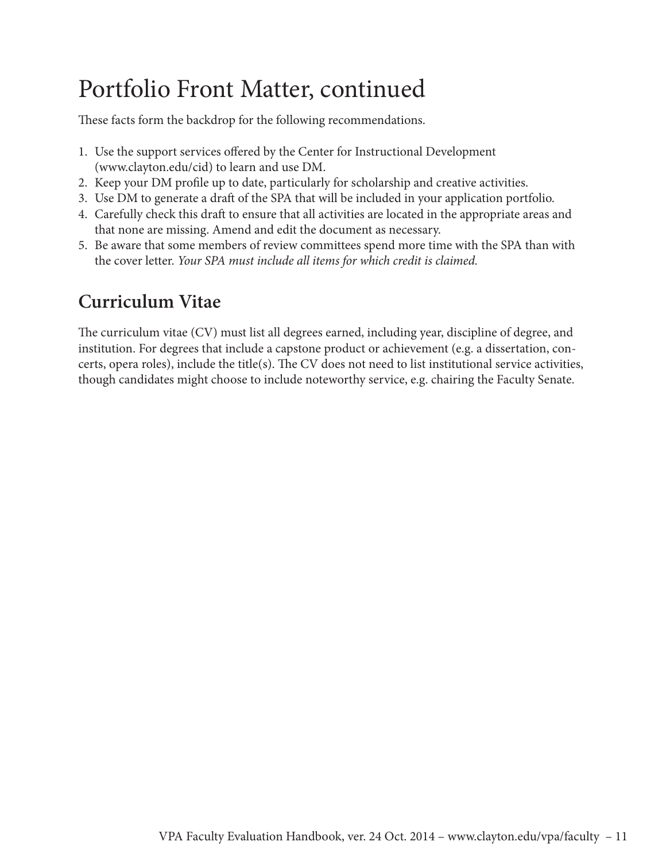## Portfolio Front Matter, continued

These facts form the backdrop for the following recommendations.

- 1. Use the support services offered by the Center for Instructional Development (www.clayton.edu/cid) to learn and use DM.
- 2. Keep your DM profile up to date, particularly for scholarship and creative activities.
- 3. Use DM to generate a draft of the SPA that will be included in your application portfolio.
- 4. Carefully check this draft to ensure that all activities are located in the appropriate areas and that none are missing. Amend and edit the document as necessary.
- 5. Be aware that some members of review committees spend more time with the SPA than with the cover letter. *Your SPA must include all items for which credit is claimed.*

### **Curriculum Vitae**

The curriculum vitae (CV) must list all degrees earned, including year, discipline of degree, and institution. For degrees that include a capstone product or achievement (e.g. a dissertation, concerts, opera roles), include the title(s). The CV does not need to list institutional service activities, though candidates might choose to include noteworthy service, e.g. chairing the Faculty Senate.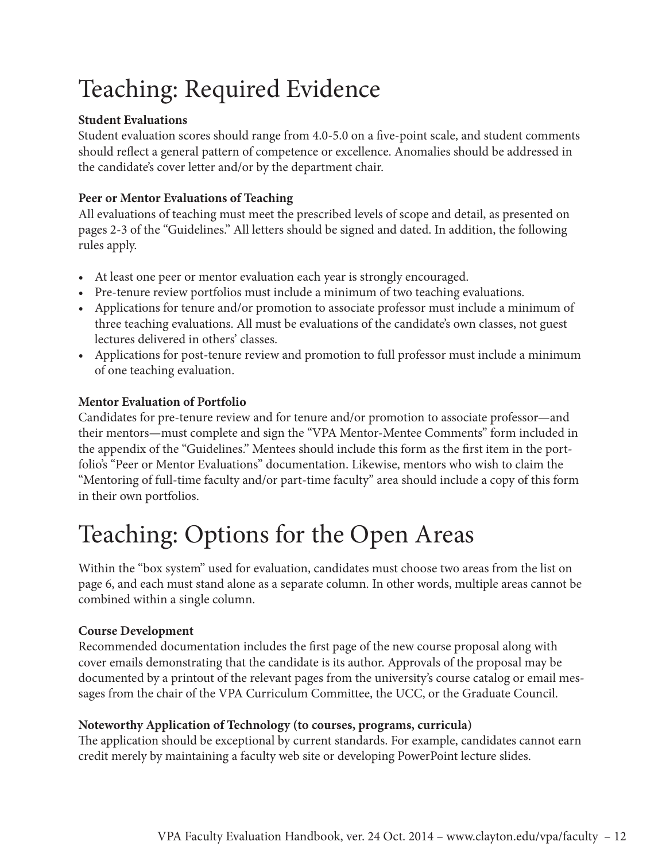## Teaching: Required Evidence

#### **Student Evaluations**

Student evaluation scores should range from 4.0-5.0 on a five-point scale, and student comments should reflect a general pattern of competence or excellence. Anomalies should be addressed in the candidate's cover letter and/or by the department chair.

#### **Peer or Mentor Evaluations of Teaching**

All evaluations of teaching must meet the prescribed levels of scope and detail, as presented on pages 2-3 of the "Guidelines." All letters should be signed and dated. In addition, the following rules apply.

- At least one peer or mentor evaluation each year is strongly encouraged.
- Pre-tenure review portfolios must include a minimum of two teaching evaluations.
- Applications for tenure and/or promotion to associate professor must include a minimum of three teaching evaluations. All must be evaluations of the candidate's own classes, not guest lectures delivered in others' classes.
- Applications for post-tenure review and promotion to full professor must include a minimum of one teaching evaluation.

#### **Mentor Evaluation of Portfolio**

Candidates for pre-tenure review and for tenure and/or promotion to associate professor—and their mentors—must complete and sign the "VPA Mentor-Mentee Comments" form included in the appendix of the "Guidelines." Mentees should include this form as the first item in the portfolio's "Peer or Mentor Evaluations" documentation. Likewise, mentors who wish to claim the "Mentoring of full-time faculty and/or part-time faculty" area should include a copy of this form in their own portfolios.

## Teaching: Options for the Open Areas

Within the "box system" used for evaluation, candidates must choose two areas from the list on page 6, and each must stand alone as a separate column. In other words, multiple areas cannot be combined within a single column.

#### **Course Development**

Recommended documentation includes the first page of the new course proposal along with cover emails demonstrating that the candidate is its author. Approvals of the proposal may be documented by a printout of the relevant pages from the university's course catalog or email messages from the chair of the VPA Curriculum Committee, the UCC, or the Graduate Council.

#### **Noteworthy Application of Technology (to courses, programs, curricula)**

The application should be exceptional by current standards. For example, candidates cannot earn credit merely by maintaining a faculty web site or developing PowerPoint lecture slides.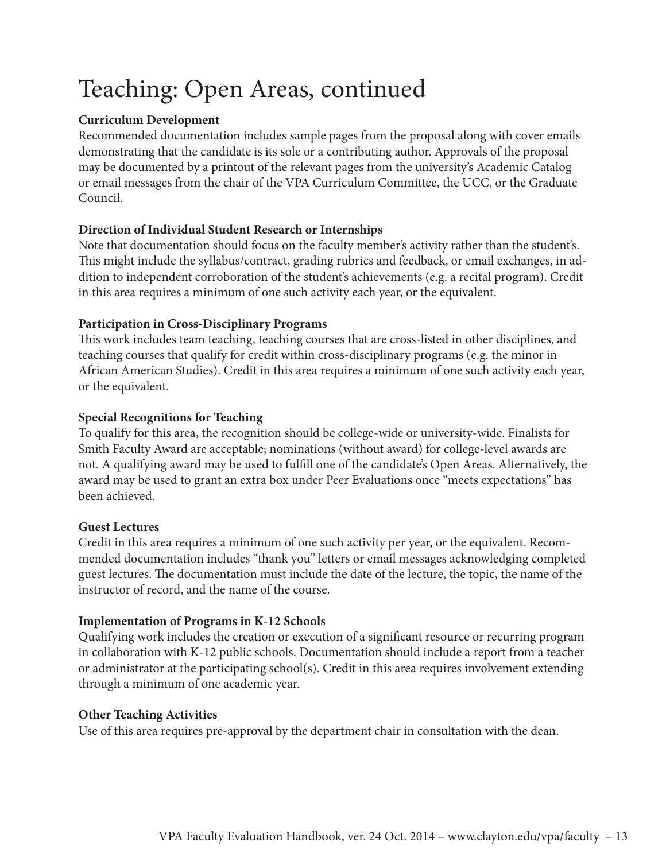## Teaching: Open Areas, continued

#### **Curriculum Development**

Recommended documentation includes sample pages from the proposal along with cover emails demonstrating that the candidate is its sole or a contributing author. Approvals of the proposal may be documented by a printout of the relevant pages from the university's Academic Catalog or email messages from the chair of the VPA Curriculum Committee, the UCC, or the Graduate Council.

#### **Direction of Individual Student Research or Internships**

Note that documentation should focus on the faculty member's activity rather than the student's. This might include the syllabus/contract, grading rubrics and feedback, or email exchanges, in addition to independent corroboration of the student's achievements (e.g. a recital program). Credit in this area requires a minimum of one such activity each year, or the equivalent.

#### **Participation in Cross-Disciplinary Programs**

This work includes team teaching, teaching courses that are cross-listed in other disciplines, and teaching courses that qualify for credit within cross-disciplinary programs (e.g. the minor in African American Studies). Credit in this area requires a minimum of one such activity each year, or the equivalent.

#### **Special Recognitions for Teaching**

To qualify for this area, the recognition should be college-wide or university-wide. Finalists for Smith Faculty Award are acceptable; nominations (without award) for college-level awards are not. A qualifying award may be used to fulfill one of the candidate's Open Areas. Alternatively, the award may be used to grant an extra box under Peer Evaluations once "meets expectations" has been achieved.

#### **Guest Lectures**

Credit in this area requires a minimum of one such activity per year, or the equivalent. Recommended documentation includes "thank you" letters or email messages acknowledging completed guest lectures. The documentation must include the date of the lecture, the topic, the name of the instructor of record, and the name of the course.

#### **Implementation of Programs in K-12 Schools**

Qualifying work includes the creation or execution of a significant resource or recurring program in collaboration with K-12 public schools. Documentation should include a report from a teacher or administrator at the participating school(s). Credit in this area requires involvement extending through a minimum of one academic year.

#### **Other Teaching Activities**

Use of this area requires pre-approval by the department chair in consultation with the dean.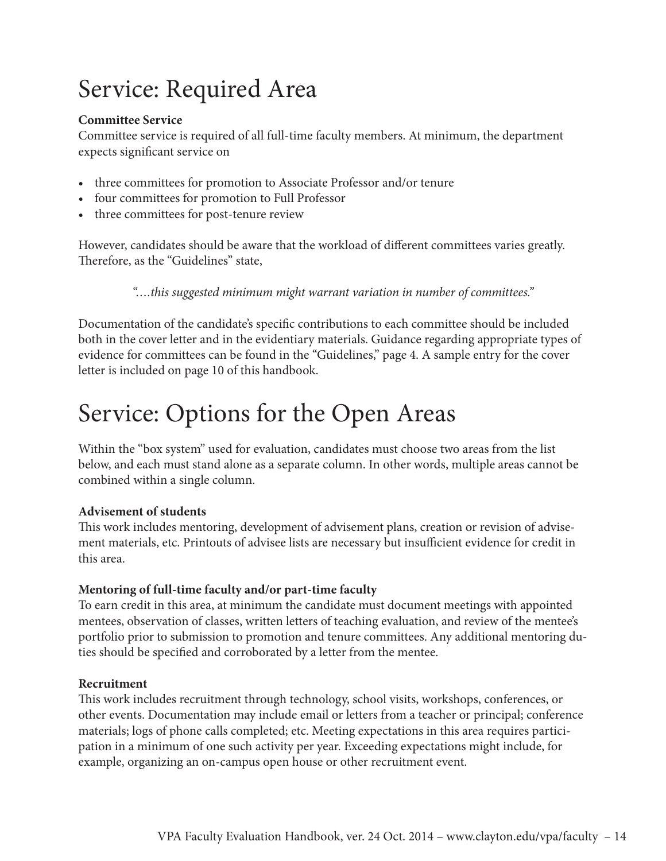## Service: Required Area

#### **Committee Service**

Committee service is required of all full-time faculty members. At minimum, the department expects significant service on

- three committees for promotion to Associate Professor and/or tenure
- • four committees for promotion to Full Professor
- three committees for post-tenure review

However, candidates should be aware that the workload of different committees varies greatly. Therefore, as the "Guidelines" state,

*"….this suggested minimum might warrant variation in number of committees."*

Documentation of the candidate's specific contributions to each committee should be included both in the cover letter and in the evidentiary materials. Guidance regarding appropriate types of evidence for committees can be found in the "Guidelines," page 4. A sample entry for the cover letter is included on page 10 of this handbook.

## Service: Options for the Open Areas

Within the "box system" used for evaluation, candidates must choose two areas from the list below, and each must stand alone as a separate column. In other words, multiple areas cannot be combined within a single column.

#### **Advisement of students**

This work includes mentoring, development of advisement plans, creation or revision of advisement materials, etc. Printouts of advisee lists are necessary but insufficient evidence for credit in this area.

#### **Mentoring of full-time faculty and/or part-time faculty**

To earn credit in this area, at minimum the candidate must document meetings with appointed mentees, observation of classes, written letters of teaching evaluation, and review of the mentee's portfolio prior to submission to promotion and tenure committees. Any additional mentoring duties should be specified and corroborated by a letter from the mentee.

#### **Recruitment**

This work includes recruitment through technology, school visits, workshops, conferences, or other events. Documentation may include email or letters from a teacher or principal; conference materials; logs of phone calls completed; etc. Meeting expectations in this area requires participation in a minimum of one such activity per year. Exceeding expectations might include, for example, organizing an on-campus open house or other recruitment event.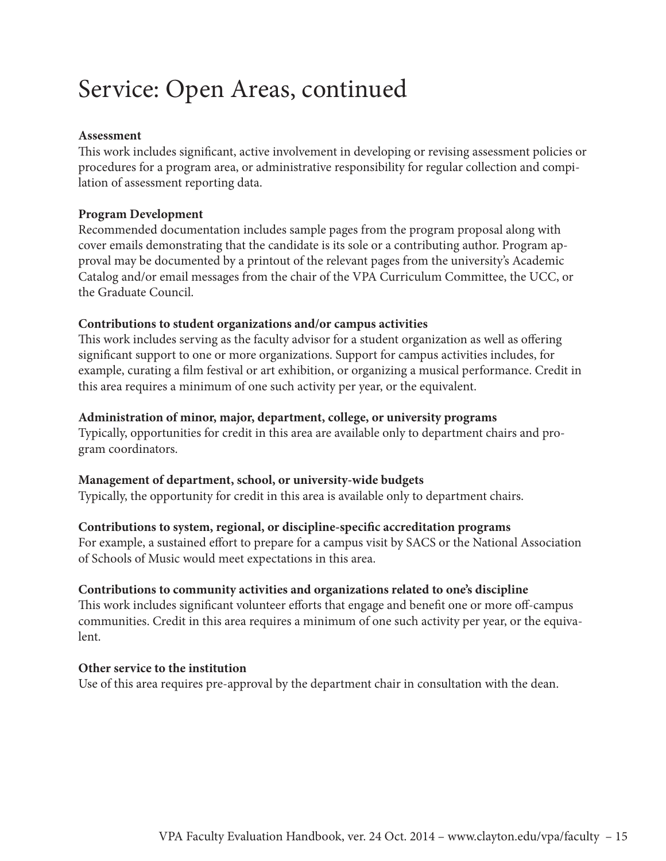## Service: Open Areas, continued

#### **Assessment**

This work includes significant, active involvement in developing or revising assessment policies or procedures for a program area, or administrative responsibility for regular collection and compilation of assessment reporting data.

#### **Program Development**

Recommended documentation includes sample pages from the program proposal along with cover emails demonstrating that the candidate is its sole or a contributing author. Program approval may be documented by a printout of the relevant pages from the university's Academic Catalog and/or email messages from the chair of the VPA Curriculum Committee, the UCC, or the Graduate Council.

#### **Contributions to student organizations and/or campus activities**

This work includes serving as the faculty advisor for a student organization as well as offering significant support to one or more organizations. Support for campus activities includes, for example, curating a film festival or art exhibition, or organizing a musical performance. Credit in this area requires a minimum of one such activity per year, or the equivalent.

#### **Administration of minor, major, department, college, or university programs**

Typically, opportunities for credit in this area are available only to department chairs and program coordinators.

#### **Management of department, school, or university-wide budgets**

Typically, the opportunity for credit in this area is available only to department chairs.

#### **Contributions to system, regional, or discipline-specific accreditation programs**

For example, a sustained effort to prepare for a campus visit by SACS or the National Association of Schools of Music would meet expectations in this area.

#### **Contributions to community activities and organizations related to one's discipline**

This work includes significant volunteer efforts that engage and benefit one or more off-campus communities. Credit in this area requires a minimum of one such activity per year, or the equivalent.

#### **Other service to the institution**

Use of this area requires pre-approval by the department chair in consultation with the dean.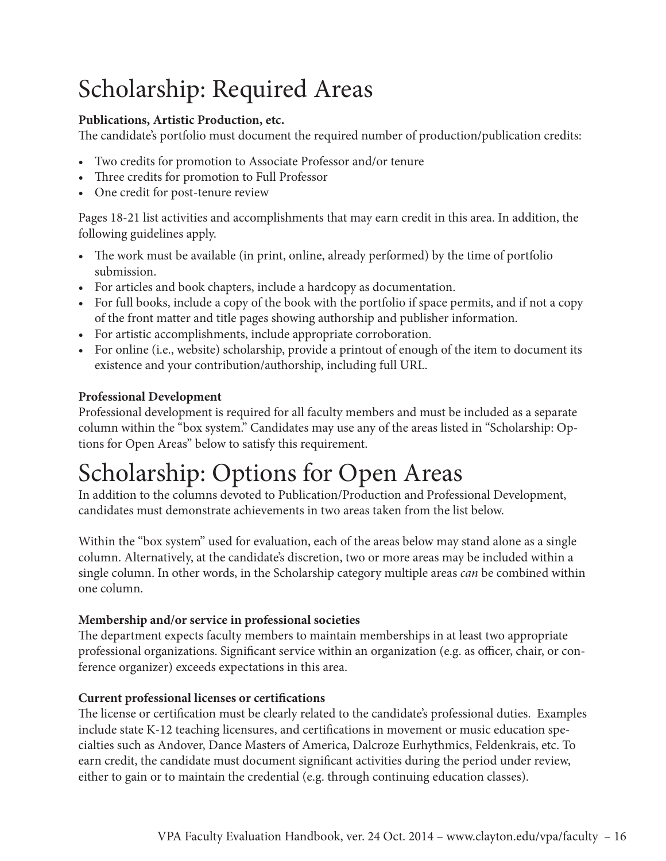## Scholarship: Required Areas

#### **Publications, Artistic Production, etc.**

The candidate's portfolio must document the required number of production/publication credits:

- • Two credits for promotion to Associate Professor and/or tenure
- Three credits for promotion to Full Professor
- One credit for post-tenure review

Pages 18-21 list activities and accomplishments that may earn credit in this area. In addition, the following guidelines apply.

- The work must be available (in print, online, already performed) by the time of portfolio submission.
- For articles and book chapters, include a hardcopy as documentation.
- For full books, include a copy of the book with the portfolio if space permits, and if not a copy of the front matter and title pages showing authorship and publisher information.
- • For artistic accomplishments, include appropriate corroboration.
- For online (i.e., website) scholarship, provide a printout of enough of the item to document its existence and your contribution/authorship, including full URL.

#### **Professional Development**

Professional development is required for all faculty members and must be included as a separate column within the "box system." Candidates may use any of the areas listed in "Scholarship: Options for Open Areas" below to satisfy this requirement.

## Scholarship: Options for Open Areas

In addition to the columns devoted to Publication/Production and Professional Development, candidates must demonstrate achievements in two areas taken from the list below.

Within the "box system" used for evaluation, each of the areas below may stand alone as a single column. Alternatively, at the candidate's discretion, two or more areas may be included within a single column. In other words, in the Scholarship category multiple areas *can* be combined within one column.

#### **Membership and/or service in professional societies**

The department expects faculty members to maintain memberships in at least two appropriate professional organizations. Significant service within an organization (e.g. as officer, chair, or conference organizer) exceeds expectations in this area.

#### **Current professional licenses or certifications**

The license or certification must be clearly related to the candidate's professional duties. Examples include state K-12 teaching licensures, and certifications in movement or music education specialties such as Andover, Dance Masters of America, Dalcroze Eurhythmics, Feldenkrais, etc. To earn credit, the candidate must document significant activities during the period under review, either to gain or to maintain the credential (e.g. through continuing education classes).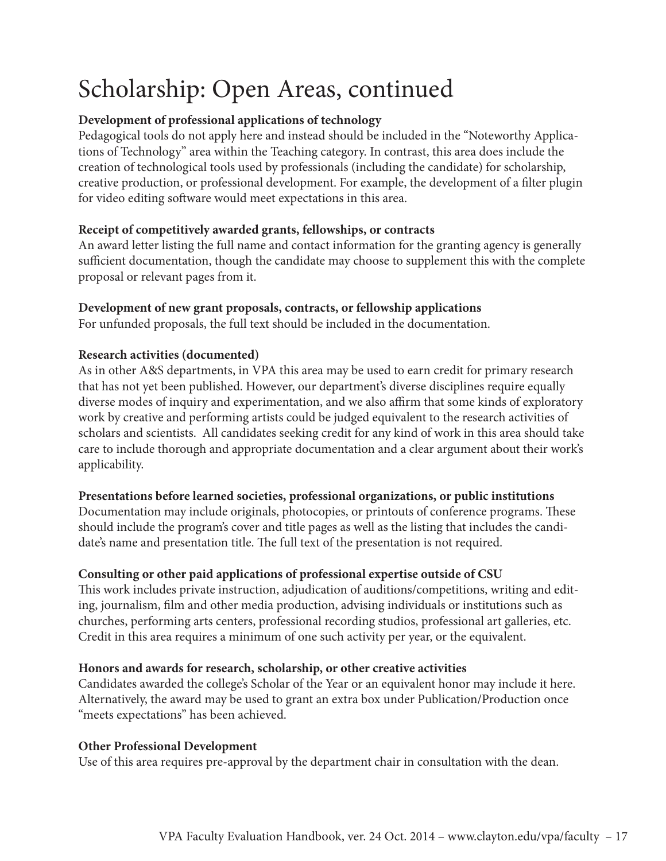## Scholarship: Open Areas, continued

#### **Development of professional applications of technology**

Pedagogical tools do not apply here and instead should be included in the "Noteworthy Applications of Technology" area within the Teaching category. In contrast, this area does include the creation of technological tools used by professionals (including the candidate) for scholarship, creative production, or professional development. For example, the development of a filter plugin for video editing software would meet expectations in this area.

#### **Receipt of competitively awarded grants, fellowships, or contracts**

An award letter listing the full name and contact information for the granting agency is generally sufficient documentation, though the candidate may choose to supplement this with the complete proposal or relevant pages from it.

#### **Development of new grant proposals, contracts, or fellowship applications**

For unfunded proposals, the full text should be included in the documentation.

#### **Research activities (documented)**

As in other A&S departments, in VPA this area may be used to earn credit for primary research that has not yet been published. However, our department's diverse disciplines require equally diverse modes of inquiry and experimentation, and we also affirm that some kinds of exploratory work by creative and performing artists could be judged equivalent to the research activities of scholars and scientists. All candidates seeking credit for any kind of work in this area should take care to include thorough and appropriate documentation and a clear argument about their work's applicability.

#### **Presentations before learned societies, professional organizations, or public institutions**

Documentation may include originals, photocopies, or printouts of conference programs. These should include the program's cover and title pages as well as the listing that includes the candidate's name and presentation title. The full text of the presentation is not required.

#### **Consulting or other paid applications of professional expertise outside of CSU**

This work includes private instruction, adjudication of auditions/competitions, writing and editing, journalism, film and other media production, advising individuals or institutions such as churches, performing arts centers, professional recording studios, professional art galleries, etc. Credit in this area requires a minimum of one such activity per year, or the equivalent.

#### **Honors and awards for research, scholarship, or other creative activities**

Candidates awarded the college's Scholar of the Year or an equivalent honor may include it here. Alternatively, the award may be used to grant an extra box under Publication/Production once "meets expectations" has been achieved.

#### **Other Professional Development**

Use of this area requires pre-approval by the department chair in consultation with the dean.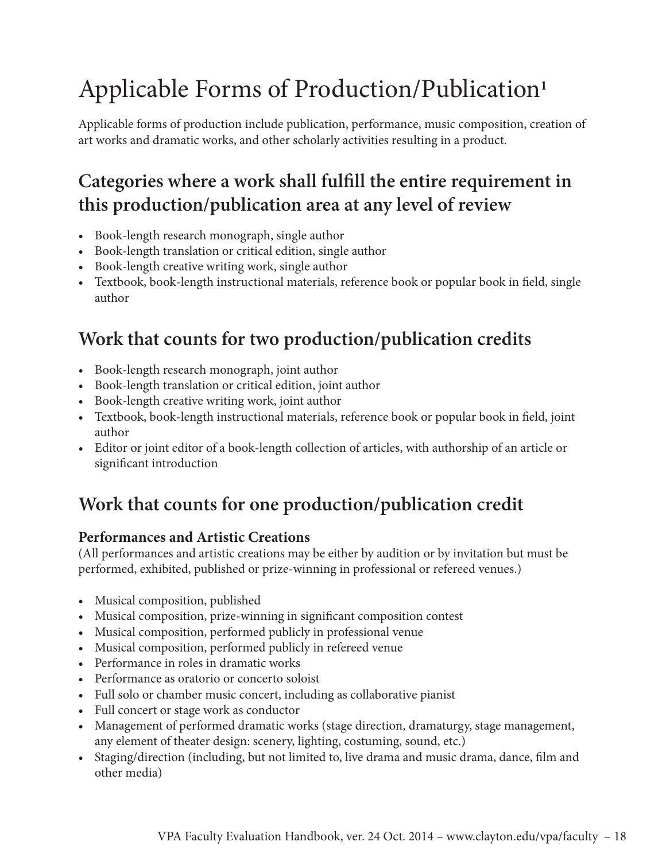## Applicable Forms of Production/Publication**<sup>1</sup>**

Applicable forms of production include publication, performance, music composition, creation of art works and dramatic works, and other scholarly activities resulting in a product.

## **Categories where a work shall fulfill the entire requirement in this production/publication area at any level of review**

- Book-length research monograph, single author
- Book-length translation or critical edition, single author
- Book-length creative writing work, single author
- Textbook, book-length instructional materials, reference book or popular book in field, single author

## **Work that counts for two production/publication credits**

- • Book-length research monograph, joint author
- Book-length translation or critical edition, joint author
- • Book-length creative writing work, joint author
- Textbook, book-length instructional materials, reference book or popular book in field, joint author
- • Editor or joint editor of a book-length collection of articles, with authorship of an article or significant introduction

## **Work that counts for one production/publication credit**

#### **Performances and Artistic Creations**

(All performances and artistic creations may be either by audition or by invitation but must be performed, exhibited, published or prize-winning in professional or refereed venues.)

- Musical composition, published
- Musical composition, prize-winning in significant composition contest
- Musical composition, performed publicly in professional venue
- Musical composition, performed publicly in refereed venue
- Performance in roles in dramatic works
- Performance as oratorio or concerto soloist
- Full solo or chamber music concert, including as collaborative pianist
- Full concert or stage work as conductor
- Management of performed dramatic works (stage direction, dramaturgy, stage management, any element of theater design: scenery, lighting, costuming, sound, etc.)
- Staging/direction (including, but not limited to, live drama and music drama, dance, film and other media)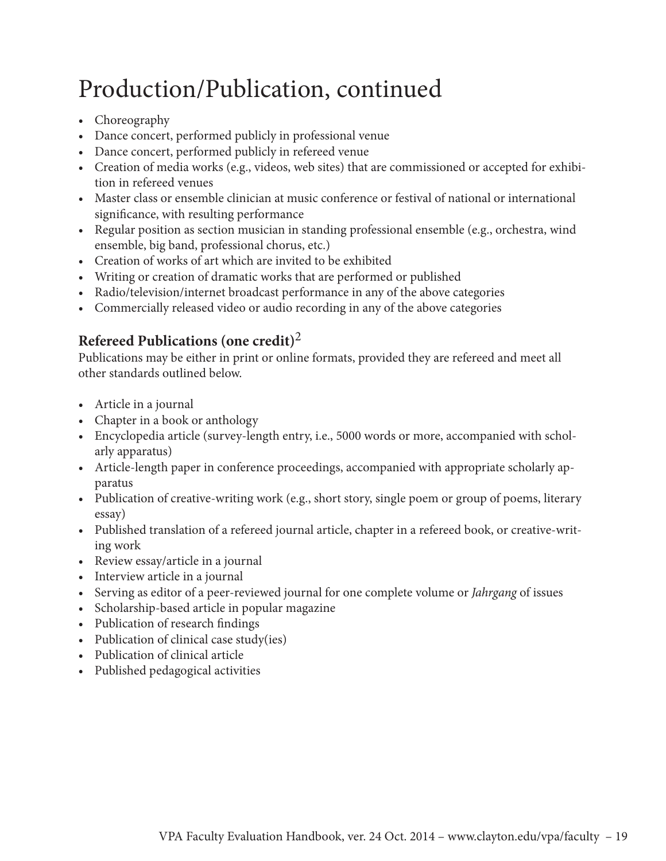## Production/Publication, continued

- Choreography
- • Dance concert, performed publicly in professional venue
- • Dance concert, performed publicly in refereed venue
- Creation of media works (e.g., videos, web sites) that are commissioned or accepted for exhibition in refereed venues
- Master class or ensemble clinician at music conference or festival of national or international significance, with resulting performance
- Regular position as section musician in standing professional ensemble (e.g., orchestra, wind ensemble, big band, professional chorus, etc.)
- • Creation of works of art which are invited to be exhibited
- • Writing or creation of dramatic works that are performed or published
- Radio/television/internet broadcast performance in any of the above categories
- • Commercially released video or audio recording in any of the above categories

#### **Refereed Publications (one credit)**<sup>2</sup>

Publications may be either in print or online formats, provided they are refereed and meet all other standards outlined below.

- Article in a journal
- Chapter in a book or anthology
- Encyclopedia article (survey-length entry, i.e., 5000 words or more, accompanied with scholarly apparatus)
- Article-length paper in conference proceedings, accompanied with appropriate scholarly apparatus
- Publication of creative-writing work (e.g., short story, single poem or group of poems, literary essay)
- • Published translation of a refereed journal article, chapter in a refereed book, or creative-writing work
- Review essay/article in a journal
- Interview article in a journal
- • Serving as editor of a peer-reviewed journal for one complete volume or *Jahrgang* of issues
- • Scholarship-based article in popular magazine
- • Publication of research findings
- Publication of clinical case study(ies)
- • Publication of clinical article
- Published pedagogical activities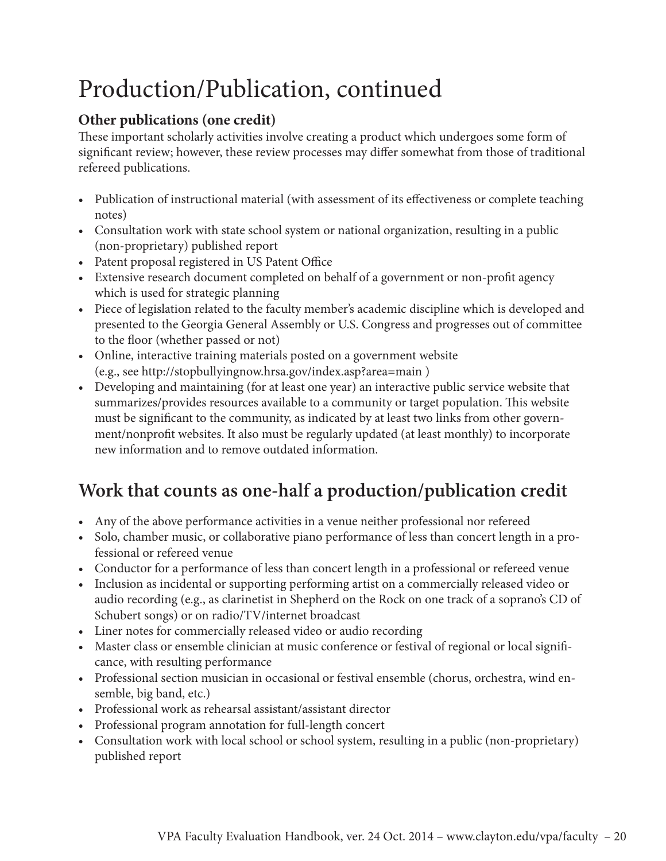## Production/Publication, continued

#### **Other publications (one credit)**

These important scholarly activities involve creating a product which undergoes some form of significant review; however, these review processes may differ somewhat from those of traditional refereed publications.

- Publication of instructional material (with assessment of its effectiveness or complete teaching notes)
- Consultation work with state school system or national organization, resulting in a public (non-proprietary) published report
- Patent proposal registered in US Patent Office
- • Extensive research document completed on behalf of a government or non-profit agency which is used for strategic planning
- Piece of legislation related to the faculty member's academic discipline which is developed and presented to the Georgia General Assembly or U.S. Congress and progresses out of committee to the floor (whether passed or not)
- Online, interactive training materials posted on a government website (e.g., see http://stopbullyingnow.hrsa.gov/index.asp?area=main )
- • Developing and maintaining (for at least one year) an interactive public service website that summarizes/provides resources available to a community or target population. This website must be significant to the community, as indicated by at least two links from other government/nonprofit websites. It also must be regularly updated (at least monthly) to incorporate new information and to remove outdated information.

## **Work that counts as one-half a production/publication credit**

- • Any of the above performance activities in a venue neither professional nor refereed
- • Solo, chamber music, or collaborative piano performance of less than concert length in a professional or refereed venue
- Conductor for a performance of less than concert length in a professional or refereed venue
- Inclusion as incidental or supporting performing artist on a commercially released video or audio recording (e.g., as clarinetist in Shepherd on the Rock on one track of a soprano's CD of Schubert songs) or on radio/TV/internet broadcast
- • Liner notes for commercially released video or audio recording
- Master class or ensemble clinician at music conference or festival of regional or local significance, with resulting performance
- Professional section musician in occasional or festival ensemble (chorus, orchestra, wind ensemble, big band, etc.)
- Professional work as rehearsal assistant/assistant director
- Professional program annotation for full-length concert
- • Consultation work with local school or school system, resulting in a public (non-proprietary) published report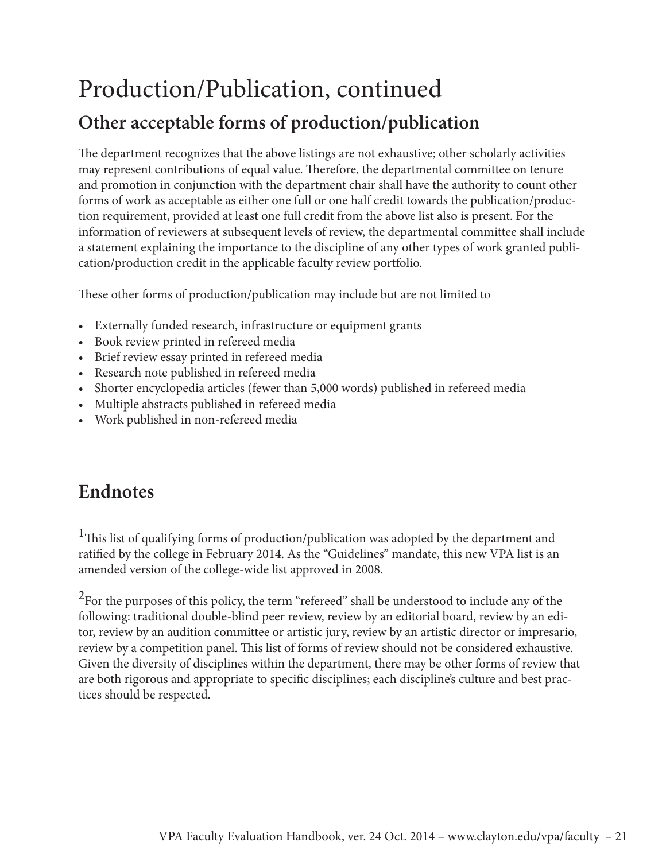## Production/Publication, continued

### **Other acceptable forms of production/publication**

The department recognizes that the above listings are not exhaustive; other scholarly activities may represent contributions of equal value. Therefore, the departmental committee on tenure and promotion in conjunction with the department chair shall have the authority to count other forms of work as acceptable as either one full or one half credit towards the publication/production requirement, provided at least one full credit from the above list also is present. For the information of reviewers at subsequent levels of review, the departmental committee shall include a statement explaining the importance to the discipline of any other types of work granted publication/production credit in the applicable faculty review portfolio.

These other forms of production/publication may include but are not limited to

- Externally funded research, infrastructure or equipment grants
- • Book review printed in refereed media
- Brief review essay printed in refereed media
- Research note published in refereed media
- Shorter encyclopedia articles (fewer than 5,000 words) published in refereed media
- Multiple abstracts published in refereed media
- • Work published in non-refereed media

### **Endnotes**

<sup>1</sup>This list of qualifying forms of production/publication was adopted by the department and ratified by the college in February 2014. As the "Guidelines" mandate, this new VPA list is an amended version of the college-wide list approved in 2008.

 $2$ For the purposes of this policy, the term "refereed" shall be understood to include any of the following: traditional double-blind peer review, review by an editorial board, review by an editor, review by an audition committee or artistic jury, review by an artistic director or impresario, review by a competition panel. This list of forms of review should not be considered exhaustive. Given the diversity of disciplines within the department, there may be other forms of review that are both rigorous and appropriate to specific disciplines; each discipline's culture and best practices should be respected.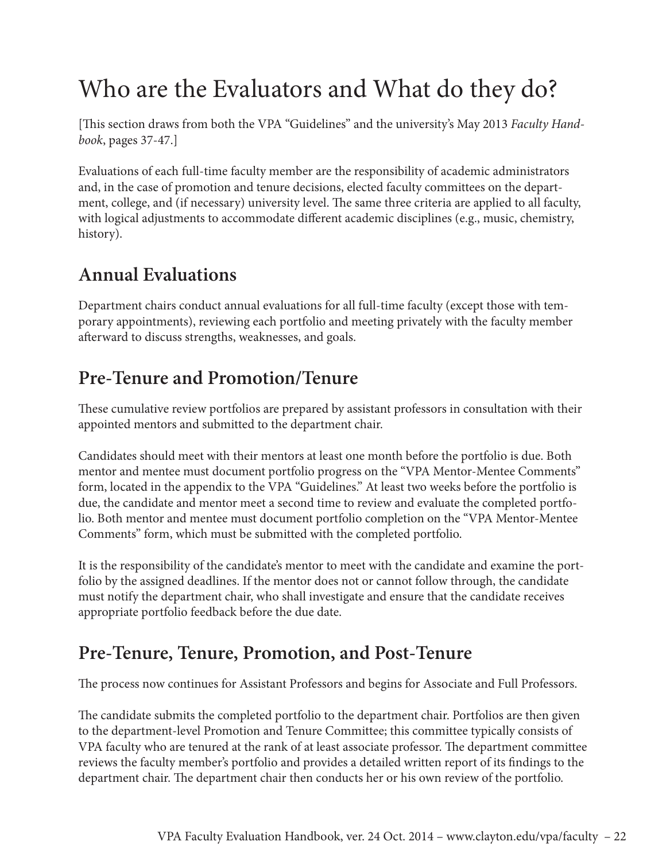## Who are the Evaluators and What do they do?

[This section draws from both the VPA "Guidelines" and the university's May 2013 *Faculty Handbook*, pages 37-47.]

Evaluations of each full-time faculty member are the responsibility of academic administrators and, in the case of promotion and tenure decisions, elected faculty committees on the department, college, and (if necessary) university level. The same three criteria are applied to all faculty, with logical adjustments to accommodate different academic disciplines (e.g., music, chemistry, history).

### **Annual Evaluations**

Department chairs conduct annual evaluations for all full-time faculty (except those with temporary appointments), reviewing each portfolio and meeting privately with the faculty member afterward to discuss strengths, weaknesses, and goals.

### **Pre-Tenure and Promotion/Tenure**

These cumulative review portfolios are prepared by assistant professors in consultation with their appointed mentors and submitted to the department chair.

Candidates should meet with their mentors at least one month before the portfolio is due. Both mentor and mentee must document portfolio progress on the "VPA Mentor-Mentee Comments" form, located in the appendix to the VPA "Guidelines." At least two weeks before the portfolio is due, the candidate and mentor meet a second time to review and evaluate the completed portfolio. Both mentor and mentee must document portfolio completion on the "VPA Mentor-Mentee Comments" form, which must be submitted with the completed portfolio.

It is the responsibility of the candidate's mentor to meet with the candidate and examine the portfolio by the assigned deadlines. If the mentor does not or cannot follow through, the candidate must notify the department chair, who shall investigate and ensure that the candidate receives appropriate portfolio feedback before the due date.

### **Pre-Tenure, Tenure, Promotion, and Post-Tenure**

The process now continues for Assistant Professors and begins for Associate and Full Professors.

The candidate submits the completed portfolio to the department chair. Portfolios are then given to the department-level Promotion and Tenure Committee; this committee typically consists of VPA faculty who are tenured at the rank of at least associate professor. The department committee reviews the faculty member's portfolio and provides a detailed written report of its findings to the department chair. The department chair then conducts her or his own review of the portfolio.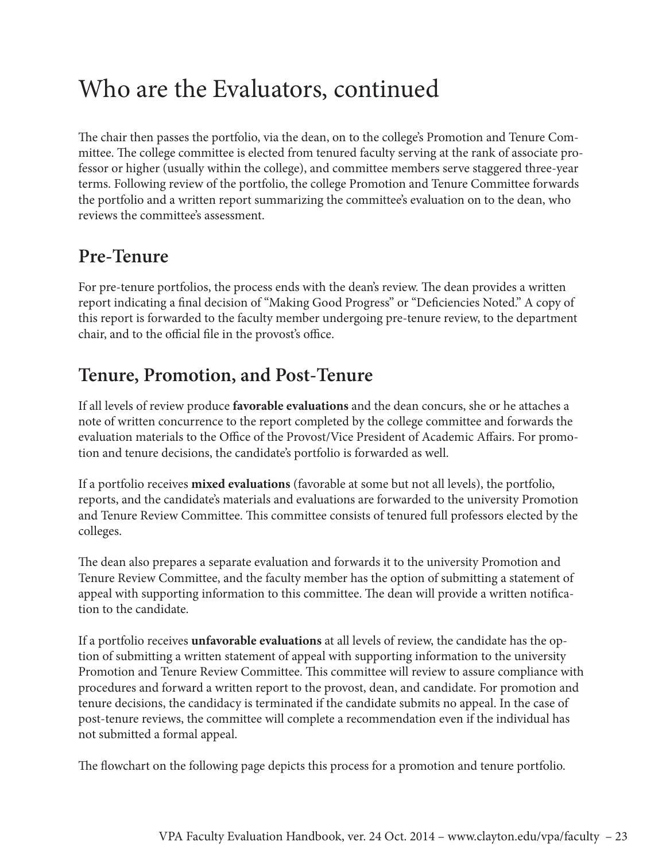## Who are the Evaluators, continued

The chair then passes the portfolio, via the dean, on to the college's Promotion and Tenure Committee. The college committee is elected from tenured faculty serving at the rank of associate professor or higher (usually within the college), and committee members serve staggered three-year terms. Following review of the portfolio, the college Promotion and Tenure Committee forwards the portfolio and a written report summarizing the committee's evaluation on to the dean, who reviews the committee's assessment.

### **Pre-Tenure**

For pre-tenure portfolios, the process ends with the dean's review. The dean provides a written report indicating a final decision of "Making Good Progress" or "Deficiencies Noted." A copy of this report is forwarded to the faculty member undergoing pre-tenure review, to the department chair, and to the official file in the provost's office.

### **Tenure, Promotion, and Post-Tenure**

If all levels of review produce **favorable evaluations** and the dean concurs, she or he attaches a note of written concurrence to the report completed by the college committee and forwards the evaluation materials to the Office of the Provost/Vice President of Academic Affairs. For promotion and tenure decisions, the candidate's portfolio is forwarded as well.

If a portfolio receives **mixed evaluations** (favorable at some but not all levels), the portfolio, reports, and the candidate's materials and evaluations are forwarded to the university Promotion and Tenure Review Committee. This committee consists of tenured full professors elected by the colleges.

The dean also prepares a separate evaluation and forwards it to the university Promotion and Tenure Review Committee, and the faculty member has the option of submitting a statement of appeal with supporting information to this committee. The dean will provide a written notification to the candidate.

If a portfolio receives **unfavorable evaluations** at all levels of review, the candidate has the option of submitting a written statement of appeal with supporting information to the university Promotion and Tenure Review Committee. This committee will review to assure compliance with procedures and forward a written report to the provost, dean, and candidate. For promotion and tenure decisions, the candidacy is terminated if the candidate submits no appeal. In the case of post-tenure reviews, the committee will complete a recommendation even if the individual has not submitted a formal appeal.

The flowchart on the following page depicts this process for a promotion and tenure portfolio.